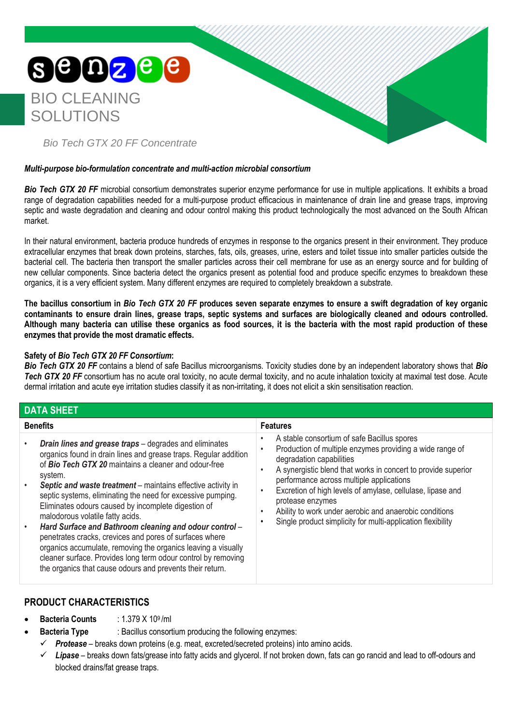

#### *Multi-purpose bio-formulation concentrate and multi-action microbial consortium*

**Bio Tech GTX 20 FF** microbial consortium demonstrates superior enzyme performance for use in multiple applications. It exhibits a broad range of degradation capabilities needed for a multi-purpose product efficacious in maintenance of drain line and grease traps, improving septic and waste degradation and cleaning and odour control making this product technologically the most advanced on the South African market.

In their natural environment, bacteria produce hundreds of enzymes in response to the organics present in their environment. They produce extracellular enzymes that break down proteins, starches, fats, oils, greases, urine, esters and toilet tissue into smaller particles outside the bacterial cell. The bacteria then transport the smaller particles across their cell membrane for use as an energy source and for building of new cellular components. Since bacteria detect the organics present as potential food and produce specific enzymes to breakdown these organics, it is a very efficient system. Many different enzymes are required to completely breakdown a substrate.

**The bacillus consortium in** *Bio Tech GTX 20 FF* **produces seven separate enzymes to ensure a swift degradation of key organic contaminants to ensure drain lines, grease traps, septic systems and surfaces are biologically cleaned and odours controlled. Although many bacteria can utilise these organics as food sources, it is the bacteria with the most rapid production of these enzymes that provide the most dramatic effects.**

#### **Safety of** *Bio Tech GTX 20 FF Consortium***:**

*Bio Tech GTX 20 FF* contains a blend of safe Bacillus microorganisms. Toxicity studies done by an independent laboratory shows that *Bio*  **Tech GTX 20 FF** consortium has no acute oral toxicity, no acute dermal toxicity, and no acute inhalation toxicity at maximal test dose. Acute dermal irritation and acute eye irritation studies classify it as non-irritating, it does not elicit a skin sensitisation reaction.

| <b>DATA SHEET</b>                                                                                                                                                                                                                                                                                                                                                                                                                                                                                                                                                                                                                                                                                                                                                                    |                                                                                                                                                                                                                                                                                                                                                                                                                                                             |  |  |  |
|--------------------------------------------------------------------------------------------------------------------------------------------------------------------------------------------------------------------------------------------------------------------------------------------------------------------------------------------------------------------------------------------------------------------------------------------------------------------------------------------------------------------------------------------------------------------------------------------------------------------------------------------------------------------------------------------------------------------------------------------------------------------------------------|-------------------------------------------------------------------------------------------------------------------------------------------------------------------------------------------------------------------------------------------------------------------------------------------------------------------------------------------------------------------------------------------------------------------------------------------------------------|--|--|--|
| <b>Benefits</b>                                                                                                                                                                                                                                                                                                                                                                                                                                                                                                                                                                                                                                                                                                                                                                      | <b>Features</b>                                                                                                                                                                                                                                                                                                                                                                                                                                             |  |  |  |
| <b>Drain lines and grease traps</b> - degrades and eliminates<br>organics found in drain lines and grease traps. Regular addition<br>of <b>Bio Tech GTX 20</b> maintains a cleaner and odour-free<br>system.<br>Septic and waste treatment - maintains effective activity in<br>$\bullet$<br>septic systems, eliminating the need for excessive pumping.<br>Eliminates odours caused by incomplete digestion of<br>malodorous volatile fatty acids.<br>Hard Surface and Bathroom cleaning and odour control -<br>$\bullet$<br>penetrates cracks, crevices and pores of surfaces where<br>organics accumulate, removing the organics leaving a visually<br>cleaner surface. Provides long term odour control by removing<br>the organics that cause odours and prevents their return. | A stable consortium of safe Bacillus spores<br>Production of multiple enzymes providing a wide range of<br>degradation capabilities<br>A synergistic blend that works in concert to provide superior<br>performance across multiple applications<br>Excretion of high levels of amylase, cellulase, lipase and<br>protease enzymes<br>Ability to work under aerobic and anaerobic conditions<br>Single product simplicity for multi-application flexibility |  |  |  |

# **PRODUCT CHARACTERISTICS**

- **Bacteria Counts** : 1.379 X 109 /ml
	- **Bacteria Type** : Bacillus consortium producing the following enzymes:
	- ✓ *Protease* breaks down proteins (e.g. meat, excreted/secreted proteins) into amino acids.
		- Lipase breaks down fats/grease into fatty acids and glycerol. If not broken down, fats can go rancid and lead to off-odours and blocked drains/fat grease traps.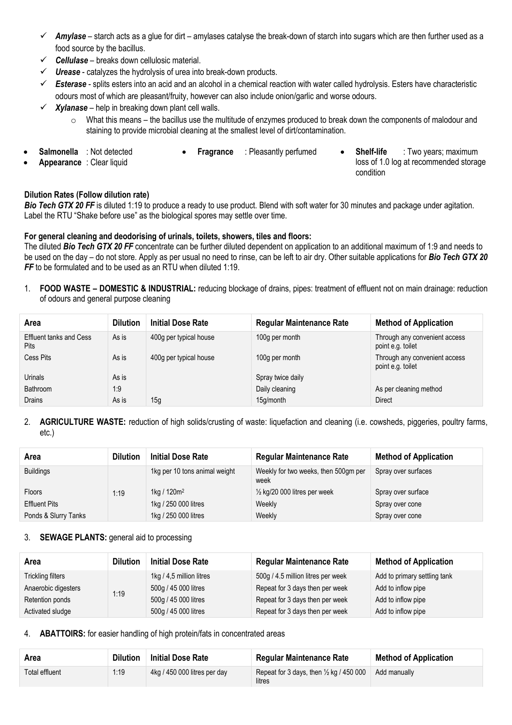- ✓ *Amylase* starch acts as a glue for dirt amylases catalyse the break-down of starch into sugars which are then further used as a food source by the bacillus.
- ✓ *Cellulase* breaks down cellulosic material.
- **Urease** [catalyzes](http://en.wikipedia.org/wiki/Catalysis) th[e hydrolysis](http://en.wikipedia.org/wiki/Hydrolysis) of [urea](http://en.wikipedia.org/wiki/Urea) into break-down products.
- ✓ *Esterase* splits [esters](http://en.wikipedia.org/wiki/Ester) into an [acid](http://en.wikipedia.org/wiki/Acid) and an [alcohol](http://en.wikipedia.org/wiki/Alcohol) in a [chemical reaction](http://en.wikipedia.org/wiki/Chemical_reaction) with [water](http://en.wikipedia.org/wiki/Water_(molecule)) called [hydrolysis.](http://en.wikipedia.org/wiki/Hydrolysis) Esters have characteristic odours most of which are pleasant/fruity, however can also include onion/garlic and worse odours.
- $\checkmark$  *Xylanase* help in breaking down plant cell walls.
	- $\circ$  What this means the bacillus use the multitude of enzymes produced to break down the components of malodour and staining to provide microbial cleaning at the smallest level of dirt/contamination.
- **Salmonella** : Not detected
- 
- **Appearance** : Clear liquid
- 
- **Fragrance** : Pleasantly perfumed **Shelf-life** : Two years; maximum loss of 1.0 log at recommended storage condition

### **Dilution Rates (Follow dilution rate)**

**Bio Tech GTX 20 FF** is diluted 1:19 to produce a ready to use product. Blend with soft water for 30 minutes and package under agitation. Label the RTU "Shake before use" as the biological spores may settle over time.

### **For general cleaning and deodorising of urinals, toilets, showers, tiles and floors:**

The diluted *Bio Tech GTX 20 FF* concentrate can be further diluted dependent on application to an additional maximum of 1:9 and needs to be used on the day – do not store. Apply as per usual no need to rinse, can be left to air dry. Other suitable applications for *Bio Tech GTX 20*  **FF** to be formulated and to be used as an RTU when diluted 1:19.

1. **FOOD WASTE – DOMESTIC & INDUSTRIAL:** reducing blockage of drains, pipes: treatment of effluent not on main drainage: reduction of odours and general purpose cleaning

| Area                                          | <b>Dilution</b> | <b>Initial Dose Rate</b> | <b>Regular Maintenance Rate</b> | <b>Method of Application</b>                       |
|-----------------------------------------------|-----------------|--------------------------|---------------------------------|----------------------------------------------------|
| <b>Effluent tanks and Cess</b><br><b>Pits</b> | As is           | 400g per typical house   | 100g per month                  | Through any convenient access<br>point e.g. toilet |
| Cess Pits                                     | As is           | 400g per typical house   | 100g per month                  | Through any convenient access<br>point e.g. toilet |
| Urinals                                       | As is           |                          | Spray twice daily               |                                                    |
| Bathroom                                      | 1:9             |                          | Daily cleaning                  | As per cleaning method                             |
| Drains                                        | As is           | 15g                      | 15g/month                       | <b>Direct</b>                                      |

## 2. **AGRICULTURE WASTE:** reduction of high solids/crusting of waste: liquefaction and cleaning (i.e. cowsheds, piggeries, poultry farms, etc.)

| Area                 | <b>Dilution</b> | <b>Initial Dose Rate</b>      | <b>Regular Maintenance Rate</b>              | <b>Method of Application</b> |
|----------------------|-----------------|-------------------------------|----------------------------------------------|------------------------------|
| <b>Buildings</b>     |                 | 1kg per 10 tons animal weight | Weekly for two weeks, then 500gm per<br>week | Spray over surfaces          |
| <b>Floors</b>        | 1:19            | 1kg / $120m^2$                | $\frac{1}{2}$ kg/20 000 litres per week      | Spray over surface           |
| <b>Effluent Pits</b> |                 | 1kg / 250 000 litres          | Weekly                                       | Spray over cone              |
| Ponds & Slurry Tanks |                 | 1kg / 250 000 litres          | Weekly                                       | Spray over cone              |

## 3. **SEWAGE PLANTS:** general aid to processing

| Area                | <b>Dilution</b> | <b>Initial Dose Rate</b> | <b>Regular Maintenance Rate</b>    | <b>Method of Application</b> |
|---------------------|-----------------|--------------------------|------------------------------------|------------------------------|
| Trickling filters   | 1:19            | 1kg / 4,5 million litres | 500g / 4.5 million litres per week | Add to primary settling tank |
| Anaerobic digesters |                 | 500g / 45 000 litres     | Repeat for 3 days then per week    | Add to inflow pipe           |
| Retention ponds     |                 | 500g / 45 000 litres     | Repeat for 3 days then per week    | Add to inflow pipe           |
| Activated sludge    |                 | 500g / 45 000 litres     | Repeat for 3 days then per week    | Add to inflow pipe           |

4. **ABATTOIRS:** for easier handling of high protein/fats in concentrated areas

| Area           | <b>Dilution</b> | <b>Initial Dose Rate</b>     | <b>Regular Maintenance Rate</b>                              | <b>Method of Application</b> |
|----------------|-----------------|------------------------------|--------------------------------------------------------------|------------------------------|
| Total effluent | 1:19            | 4kg / 450 000 litres per day | Repeat for 3 days, then $\frac{1}{2}$ kg / 450 000<br>litres | Add manually                 |